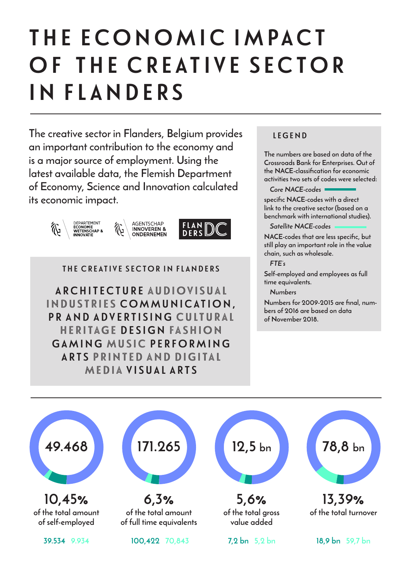# THE ECONOMIC IMPACT OF THE CREATIVE SECTOR IN FLANDERS

**The creative sector in Flanders, Belgium provides an important contribution to the economy and is a major source of employment. Using the latest available data, the Flemish Department of Economy, Science and Innovation calculated its economic impact.**





THE CREATIVE SECTOR IN FLANDERS

ARCHITECTURE AUDIOVISUAL INDUSTRIES COMMUNICATION, PR AND ADVERTISING CULTURAL HERITAGE DESIGN FASHION GAMING MUSIC PERFORMING ARTS PRINTED AND DIGITAL MEDIA VISUAL ARTS

#### LEGEND

**The numbers are based on data of the Crossroads Bank for Enterprises. Out of the NACE-classification for economic activities two sets of codes were selected:** 

*Core NACE-codes*

**specific NACE-codes with a direct link to the creative sector (based on a benchmark with international studies).**

*Satellite NACE-codes*

**NACE-codes that are less specific, but still play an important role in the value chain, such as wholesale.**

*FTE's*

**Self-employed and employees as full time equivalents.**

*Numbers*

**Numbers for 2009-2015 are final, numbers of 2016 are based on data of November 2018.**

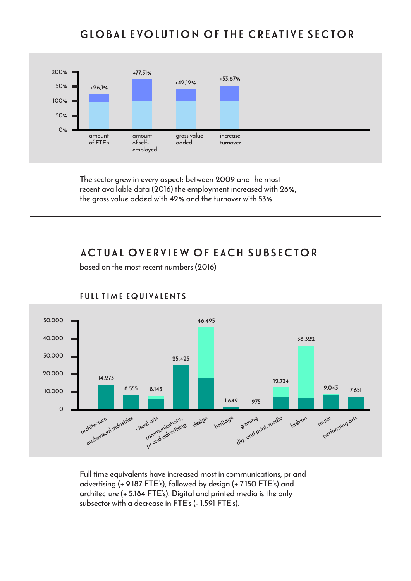## GLOBAL EVOLUTION OF THE CREATIVE SECTOR



**The sector grew in every aspect: between 2009 and the most recent available data (2016) the employment increased with 26%, the gross value added with 42% and the turnover with 53%.**

### ACTUAL OVERVIEW OF EACH SUBSECTOR

**based on the most recent numbers (2016)**



#### FULL TIME EQUIVALENTS

**Full time equivalents have increased most in communications, pr and advertising (+ 9.187 FTE's), followed by design (+ 7.150 FTE's) and architecture (+ 5.184 FTE's). Digital and printed media is the only subsector with a decrease in FTE's (- 1.591 FTE's).**